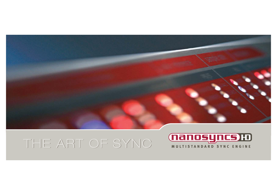

# THE ART OF SYNC

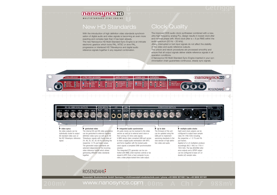### nanosyncs H) MULTISTANDARD SYNC ENGINE

## New HD Standards

With the introduction of high definition video standards synchronisation of digital audio and video signals is becoming an even more exacting and complex task than it has been already. The new Nanosyncs HD Multi Standard Sync Engine is an intricate electronic gearbox which locks PAL, NTSC or slow PAL, progressive or interlaced HD Trilevelsyncs and digital audio reference signals together in any required combination.

## Clock Quality

The improved DDS audio clock synthesiser combined with a new, ultra high frequency analog PLL design results in lowest clock jitter and minimal phase drift. Word clock jitter is  $<$  8 ps RMS within the audio spectrum (20 Hz – 20 kHz).

Jittery, interrupted or lost input signals do not affect the stability of the video and audio reference outputs.

The unlock and relock procedures are processed smoothly and ensure that all output signals deliver stable reference signals in all operation conditions.

A Nanosyncs HD Multi Standard Sync Engine inserted in your synchronisation chain guarantees continuous, steady sync signals.